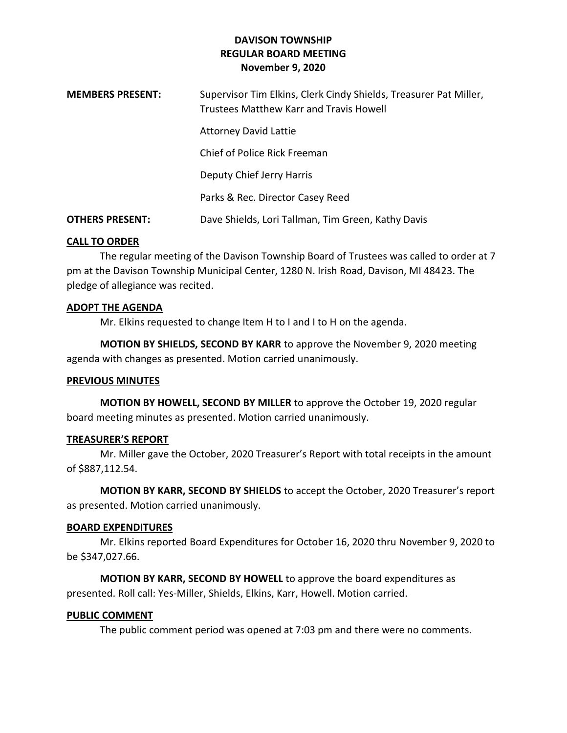| <b>MEMBERS PRESENT:</b> | Supervisor Tim Elkins, Clerk Cindy Shields, Treasurer Pat Miller,<br>Trustees Matthew Karr and Travis Howell |
|-------------------------|--------------------------------------------------------------------------------------------------------------|
|                         | <b>Attorney David Lattie</b>                                                                                 |
|                         | Chief of Police Rick Freeman                                                                                 |
|                         | Deputy Chief Jerry Harris                                                                                    |
|                         | Parks & Rec. Director Casey Reed                                                                             |
| <b>OTHERS PRESENT:</b>  | Dave Shields, Lori Tallman, Tim Green, Kathy Davis                                                           |

### **CALL TO ORDER**

The regular meeting of the Davison Township Board of Trustees was called to order at 7 pm at the Davison Township Municipal Center, 1280 N. Irish Road, Davison, MI 48423. The pledge of allegiance was recited.

### **ADOPT THE AGENDA**

Mr. Elkins requested to change Item H to I and I to H on the agenda.

**MOTION BY SHIELDS, SECOND BY KARR** to approve the November 9, 2020 meeting agenda with changes as presented. Motion carried unanimously.

### **PREVIOUS MINUTES**

**MOTION BY HOWELL, SECOND BY MILLER** to approve the October 19, 2020 regular board meeting minutes as presented. Motion carried unanimously.

### **TREASURER'S REPORT**

Mr. Miller gave the October, 2020 Treasurer's Report with total receipts in the amount of \$887,112.54.

**MOTION BY KARR, SECOND BY SHIELDS** to accept the October, 2020 Treasurer's report as presented. Motion carried unanimously.

#### **BOARD EXPENDITURES**

Mr. Elkins reported Board Expenditures for October 16, 2020 thru November 9, 2020 to be \$347,027.66.

**MOTION BY KARR, SECOND BY HOWELL** to approve the board expenditures as presented. Roll call: Yes-Miller, Shields, Elkins, Karr, Howell. Motion carried.

#### **PUBLIC COMMENT**

The public comment period was opened at 7:03 pm and there were no comments.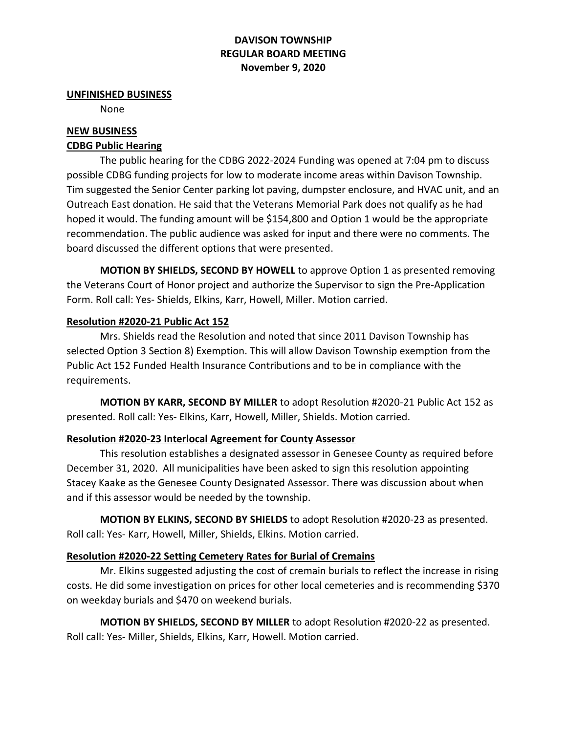#### **UNFINISHED BUSINESS**

None

### **NEW BUSINESS**

## **CDBG Public Hearing**

The public hearing for the CDBG 2022-2024 Funding was opened at 7:04 pm to discuss possible CDBG funding projects for low to moderate income areas within Davison Township. Tim suggested the Senior Center parking lot paving, dumpster enclosure, and HVAC unit, and an Outreach East donation. He said that the Veterans Memorial Park does not qualify as he had hoped it would. The funding amount will be \$154,800 and Option 1 would be the appropriate recommendation. The public audience was asked for input and there were no comments. The board discussed the different options that were presented.

**MOTION BY SHIELDS, SECOND BY HOWELL** to approve Option 1 as presented removing the Veterans Court of Honor project and authorize the Supervisor to sign the Pre-Application Form. Roll call: Yes- Shields, Elkins, Karr, Howell, Miller. Motion carried.

### **Resolution #2020-21 Public Act 152**

Mrs. Shields read the Resolution and noted that since 2011 Davison Township has selected Option 3 Section 8) Exemption. This will allow Davison Township exemption from the Public Act 152 Funded Health Insurance Contributions and to be in compliance with the requirements.

**MOTION BY KARR, SECOND BY MILLER** to adopt Resolution #2020-21 Public Act 152 as presented. Roll call: Yes- Elkins, Karr, Howell, Miller, Shields. Motion carried.

### **Resolution #2020-23 Interlocal Agreement for County Assessor**

This resolution establishes a designated assessor in Genesee County as required before December 31, 2020. All municipalities have been asked to sign this resolution appointing Stacey Kaake as the Genesee County Designated Assessor. There was discussion about when and if this assessor would be needed by the township.

**MOTION BY ELKINS, SECOND BY SHIELDS** to adopt Resolution #2020-23 as presented. Roll call: Yes- Karr, Howell, Miller, Shields, Elkins. Motion carried.

### **Resolution #2020-22 Setting Cemetery Rates for Burial of Cremains**

Mr. Elkins suggested adjusting the cost of cremain burials to reflect the increase in rising costs. He did some investigation on prices for other local cemeteries and is recommending \$370 on weekday burials and \$470 on weekend burials.

**MOTION BY SHIELDS, SECOND BY MILLER** to adopt Resolution #2020-22 as presented. Roll call: Yes- Miller, Shields, Elkins, Karr, Howell. Motion carried.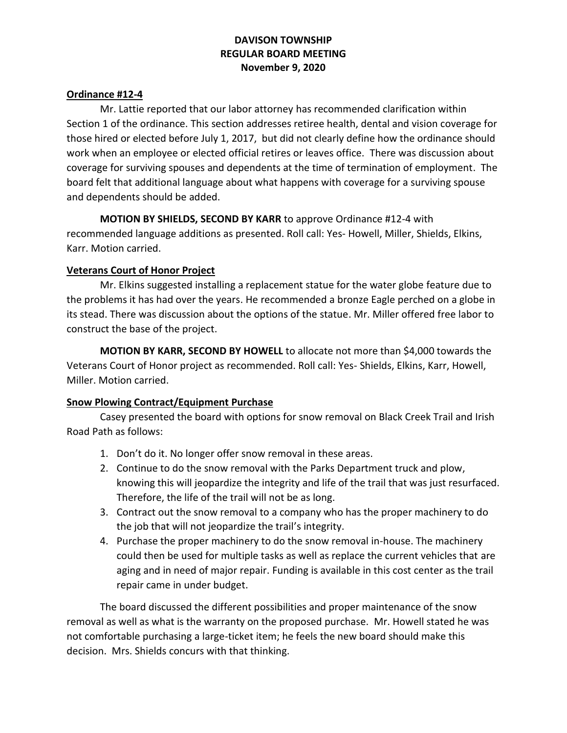### **Ordinance #12-4**

Mr. Lattie reported that our labor attorney has recommended clarification within Section 1 of the ordinance. This section addresses retiree health, dental and vision coverage for those hired or elected before July 1, 2017, but did not clearly define how the ordinance should work when an employee or elected official retires or leaves office. There was discussion about coverage for surviving spouses and dependents at the time of termination of employment. The board felt that additional language about what happens with coverage for a surviving spouse and dependents should be added.

# **MOTION BY SHIELDS, SECOND BY KARR** to approve Ordinance #12-4 with

recommended language additions as presented. Roll call: Yes- Howell, Miller, Shields, Elkins, Karr. Motion carried.

# **Veterans Court of Honor Project**

Mr. Elkins suggested installing a replacement statue for the water globe feature due to the problems it has had over the years. He recommended a bronze Eagle perched on a globe in its stead. There was discussion about the options of the statue. Mr. Miller offered free labor to construct the base of the project.

**MOTION BY KARR, SECOND BY HOWELL** to allocate not more than \$4,000 towards the Veterans Court of Honor project as recommended. Roll call: Yes- Shields, Elkins, Karr, Howell, Miller. Motion carried.

# **Snow Plowing Contract/Equipment Purchase**

Casey presented the board with options for snow removal on Black Creek Trail and Irish Road Path as follows:

- 1. Don't do it. No longer offer snow removal in these areas.
- 2. Continue to do the snow removal with the Parks Department truck and plow, knowing this will jeopardize the integrity and life of the trail that was just resurfaced. Therefore, the life of the trail will not be as long.
- 3. Contract out the snow removal to a company who has the proper machinery to do the job that will not jeopardize the trail's integrity.
- 4. Purchase the proper machinery to do the snow removal in-house. The machinery could then be used for multiple tasks as well as replace the current vehicles that are aging and in need of major repair. Funding is available in this cost center as the trail repair came in under budget.

The board discussed the different possibilities and proper maintenance of the snow removal as well as what is the warranty on the proposed purchase. Mr. Howell stated he was not comfortable purchasing a large-ticket item; he feels the new board should make this decision. Mrs. Shields concurs with that thinking.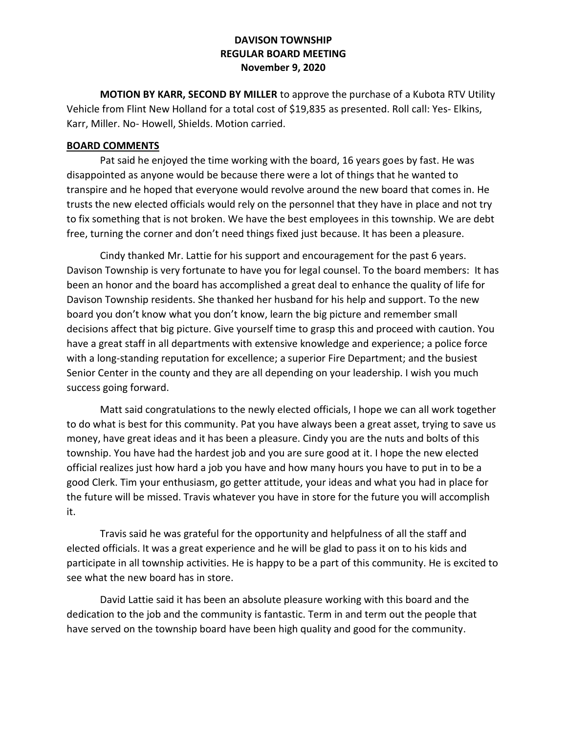**MOTION BY KARR, SECOND BY MILLER** to approve the purchase of a Kubota RTV Utility Vehicle from Flint New Holland for a total cost of \$19,835 as presented. Roll call: Yes- Elkins, Karr, Miller. No- Howell, Shields. Motion carried.

#### **BOARD COMMENTS**

Pat said he enjoyed the time working with the board, 16 years goes by fast. He was disappointed as anyone would be because there were a lot of things that he wanted to transpire and he hoped that everyone would revolve around the new board that comes in. He trusts the new elected officials would rely on the personnel that they have in place and not try to fix something that is not broken. We have the best employees in this township. We are debt free, turning the corner and don't need things fixed just because. It has been a pleasure.

Cindy thanked Mr. Lattie for his support and encouragement for the past 6 years. Davison Township is very fortunate to have you for legal counsel. To the board members: It has been an honor and the board has accomplished a great deal to enhance the quality of life for Davison Township residents. She thanked her husband for his help and support. To the new board you don't know what you don't know, learn the big picture and remember small decisions affect that big picture. Give yourself time to grasp this and proceed with caution. You have a great staff in all departments with extensive knowledge and experience; a police force with a long-standing reputation for excellence; a superior Fire Department; and the busiest Senior Center in the county and they are all depending on your leadership. I wish you much success going forward.

Matt said congratulations to the newly elected officials, I hope we can all work together to do what is best for this community. Pat you have always been a great asset, trying to save us money, have great ideas and it has been a pleasure. Cindy you are the nuts and bolts of this township. You have had the hardest job and you are sure good at it. I hope the new elected official realizes just how hard a job you have and how many hours you have to put in to be a good Clerk. Tim your enthusiasm, go getter attitude, your ideas and what you had in place for the future will be missed. Travis whatever you have in store for the future you will accomplish it.

Travis said he was grateful for the opportunity and helpfulness of all the staff and elected officials. It was a great experience and he will be glad to pass it on to his kids and participate in all township activities. He is happy to be a part of this community. He is excited to see what the new board has in store.

David Lattie said it has been an absolute pleasure working with this board and the dedication to the job and the community is fantastic. Term in and term out the people that have served on the township board have been high quality and good for the community.